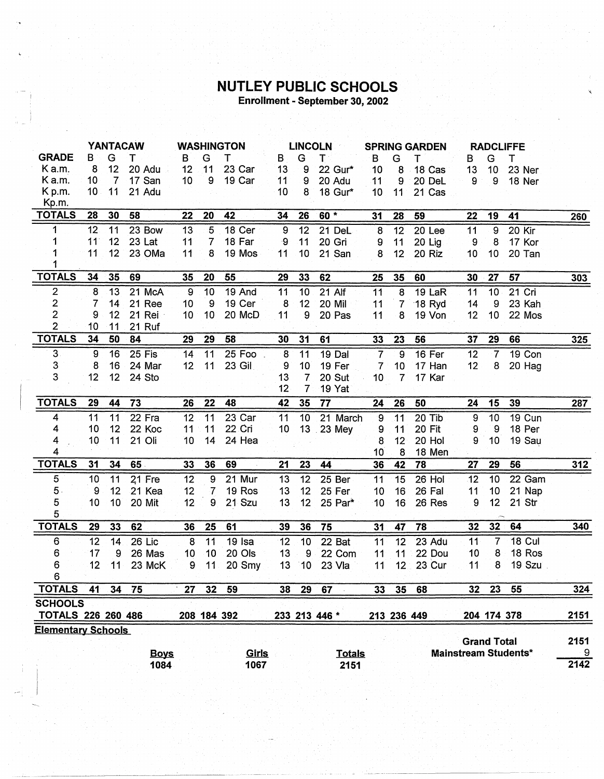## **NUTLEY PUBLIC SCHOOLS**<br>Enrollment - September 30, 2002

|                                                                                         | <b>YANTACAW</b> |                |             | <b>WASHINGTON</b> |                  | <b>LINCOLN</b> |                  |                  | <b>SPRING GARDEN</b> |                 |                 | <b>RADCLIFFE</b> |                  |                 |               |      |
|-----------------------------------------------------------------------------------------|-----------------|----------------|-------------|-------------------|------------------|----------------|------------------|------------------|----------------------|-----------------|-----------------|------------------|------------------|-----------------|---------------|------|
| <b>GRADE</b>                                                                            | В               | G              | т           | В                 | G                | т              | В                | G                | T.                   | B               | G               | T                | в                | G               | Т             |      |
| Ka.m.                                                                                   | 8               | 12             | 20 Adu      | 12                | 11               | 23 Car         | 13               | 9                | 22 Gur*              | 10              | 8               | 18 Cas           | 13               | 10              | 23 Ner        |      |
| K a.m.                                                                                  | 10              | $\overline{7}$ | 17 San      | 10                | $\boldsymbol{9}$ | 19 Car         | 11               | 9                | 20 Adu               | 11              | 9               | 20 DeL           | 9                | 9               | 18 Ner        |      |
| K p.m.                                                                                  | 10              | 11             | 21 Adu      |                   |                  |                | 10               | 8                | 18 Gur*              | 10              | 11              | 21 Cas           |                  |                 |               |      |
| Kp.m.                                                                                   |                 |                |             |                   |                  |                |                  |                  |                      |                 |                 |                  |                  |                 |               |      |
| <b>TOTALS</b>                                                                           | 28              | 30             | 58          | 22                | 20               | 42             | 34               | 26               | 60 *                 | 31              | 28              | 59               | 22               | 19              | 41            | 260  |
| 1                                                                                       | 12              | 11             | 23 Bow      | 13                | 5                | 18 Cer         | $\boldsymbol{9}$ | 12               | 21 DeL               | 8               | $\overline{12}$ | 20 Lee           | 11               | $\overline{9}$  | 20 Kir        |      |
| 1                                                                                       | 11              | 12             | 23 Lat      | 11                | $\overline{7}$   | 18 Far         | -9               | 11               | 20 Gri               | 9               | 11              | 20 Lig           | $9\,$            | 8               | 17 Kor        |      |
| 1                                                                                       | 11              | 12             | 23 OMa      | 11                | 8                | 19 Mos         | 11               | 10               | 21 San               | 8               | 12              | 20 Riz           | 10               | 10              | 20 Tan        |      |
|                                                                                         |                 |                |             |                   |                  |                |                  |                  |                      |                 |                 |                  |                  |                 |               |      |
| <b>TOTALS</b>                                                                           | 34              | 35             | 69          | 35                | 20               | 55             | 29               | 33               | 62                   | 25              | 35              | 60               | 30               | 27              | 57            | 303  |
| 2                                                                                       | 8               | 13             | 21 McA      | $\boldsymbol{9}$  | 10               | 19 And         | 11               | 10               | 21 Alf               | $\overline{11}$ | 8               | 19 LaR           | 11               | 10              | 21 Cri        |      |
| $\overline{\mathbf{c}}$                                                                 | 7               | 14             | 21 Ree      | 10                | $\overline{9}$   | 19 Cer         | 8                | 12               | 20 Mil               | 11              | $\overline{7}$  | 18 Ryd           | 14               | 9               | 23 Kah        |      |
| $\overline{2}$                                                                          | 9               | 12             | 21 Rei      | 10                | 10               | 20 McD         | 11               | 9                | 20 Pas               | 11              | 8               | 19 Von           | 12               | 10              | 22 Mos        |      |
| $\overline{2}$                                                                          | 10              | 11             | 21 Ruf      |                   |                  |                |                  |                  |                      |                 |                 |                  |                  |                 |               |      |
| <b>TOTALS</b>                                                                           | 34              | 50             | 84          | 29                | 29               | 58             | 30               | 31               | 61                   | 33              | 23              | 56               | 37               | 29              | 66            | 325  |
| $\overline{3}$                                                                          | 9               | 16             | 25 Fis      | 14                | 11               | 25 Foo         | $\overline{8}$   | $\overline{11}$  | 19 Dal               | $\overline{7}$  | 9               | 16 Fer           | $\overline{12}$  | $-7$            | 19 Con        |      |
| 3                                                                                       | 8               | 16             | 24 Mar      | 12                | 11               | 23 Gil         | 9                | 10 <sup>°</sup>  | 19 Fer               | $\overline{7}$  | 10              | 17 Han           | 12               | 8               | 20 Hag        |      |
| 3                                                                                       | 12              | 12             | 24 Sto      |                   |                  |                | 13               | $\overline{7}$   | 20 Sut               | 10              | 7               | 17 Kar           |                  |                 |               |      |
|                                                                                         |                 |                |             |                   |                  |                | 12               | $\overline{7}$   | 19 Yat               |                 |                 |                  |                  |                 |               |      |
| <b>TOTALS</b>                                                                           | 29              | 44             | 73          | 26                | 22               | 48             | 42               | 35               | 77                   | 24              | 26              | 50               | 24               | 15              | 39            | 287  |
| 4                                                                                       | 11              | 11             | 22 Fra      | 12                | $\overline{11}$  | 23 Car         | 11               | 10               | 21 March             | $\mathbf 9$     | 11              | 20 Tib           | $\boldsymbol{9}$ | 10              | <b>19 Cun</b> |      |
| 4                                                                                       | 10              | 12             | 22 Koc      | 11                | 11               | 22 Cri         | 10               |                  | 13 23 Mey            | 9               | 11              | <b>20 Fit</b>    | 9                | 9               | 18 Per        |      |
| 4                                                                                       | 10              | 11             | 21 Oli      | 10                | 14               | 24 Hea         |                  |                  |                      | 8               | 12 <sup>1</sup> | 20 Hol           | 9                | 10 <sub>1</sub> | 19 Sau        |      |
| 4                                                                                       |                 |                |             |                   |                  |                |                  |                  |                      | 10              | 8               | 18 Men           |                  |                 |               |      |
| <b>TOTALS</b>                                                                           | 31              | 34             | 65          | 33                | 36               | 69             | 21               | 23               | 44                   | 36              | 42              | 78               | 27               | 29              | 56            | 312  |
| 5                                                                                       | 10              | 11             | 21 Fre      | 12                | 9                | 21 Mur         | 13               | 12               | 25 Ber               | 11              | 15              | 26 Hol           | 12               | 10              | 22 Gam        |      |
| $5 -$                                                                                   | 9               | 12             | 21 Kea      | 12                | $\overline{7}$   | 19 Ros         | 13               | 12               | 25 Fer               | 10              | 16              | 26 Fal           | 11               | 10              | 21 Nap        |      |
| 5                                                                                       | 10              | 10             | 20 Mit      | 12 <sub>2</sub>   | 9                | 21 Szu         | 13               | 12 <sub>2</sub>  | 25 Par*              | 10              | 16              | 26 Res           | 9                | 12              | $21$ Str      |      |
| 5                                                                                       |                 |                |             |                   |                  |                |                  |                  |                      |                 |                 |                  |                  |                 |               |      |
| <b>TOTALS</b>                                                                           | 29              | 33             | 62          | 36                | 25               | 61             | 39               | 36               | 75                   | 31              | 47              | 78               | 32               | 32              | 64            | 340  |
| 6                                                                                       | 12              | 14             | 26 Lic      | 8                 | 11               | 19 Isa         | 12               | 10               | 22 Bat               | 11              | $\overline{12}$ | 23 Adu           | 11               | 7               | <b>18 Cul</b> |      |
| 6                                                                                       | 17              | 9              | 26 Mas      | 10                | 10               | 20 Ols         | 13               | $\boldsymbol{9}$ | 22 Com               | 11              | 11              | 22 Dou           | 10               | 8               | 18 Ros        |      |
| 6                                                                                       | 12              | 11             | 23 McK      | 9                 | 11               | 20 Smy         | 13               | 10 <sup>1</sup>  | 23 Vla               | 11              | 12 <sup>2</sup> | 23 Cur           | 11               | 8               | 19 Szu        |      |
| 6                                                                                       |                 |                |             |                   |                  |                |                  |                  |                      |                 |                 |                  |                  |                 |               |      |
| <b>TOTALS</b>                                                                           | 41              | 34             | 75          | 27                |                  | 32 59          | 38               | 29               | 67                   | 33              | 35              | 68               | 32               | 23              | 55            | 324  |
| <b>SCHOOLS</b>                                                                          |                 |                |             |                   |                  |                |                  |                  |                      |                 |                 |                  |                  |                 |               |      |
| <b>TOTALS 226 260 486</b><br>208 184 392<br>233 213 446 *<br>204 174 378<br>213 236 449 |                 |                |             |                   |                  |                | 2151             |                  |                      |                 |                 |                  |                  |                 |               |      |
| <b>Elementary Schools</b><br><b>Grand Total</b><br><b>Mainstream Students*</b>          |                 |                |             |                   |                  |                |                  | 2151             |                      |                 |                 |                  |                  |                 |               |      |
|                                                                                         |                 |                | <b>Boys</b> |                   |                  | <u>Girls</u>   |                  |                  | <b>Totals</b>        |                 |                 |                  |                  |                 |               | 9    |
|                                                                                         |                 |                | 1084        |                   |                  | 1067           |                  |                  | 2151                 |                 |                 |                  |                  |                 |               | 2142 |